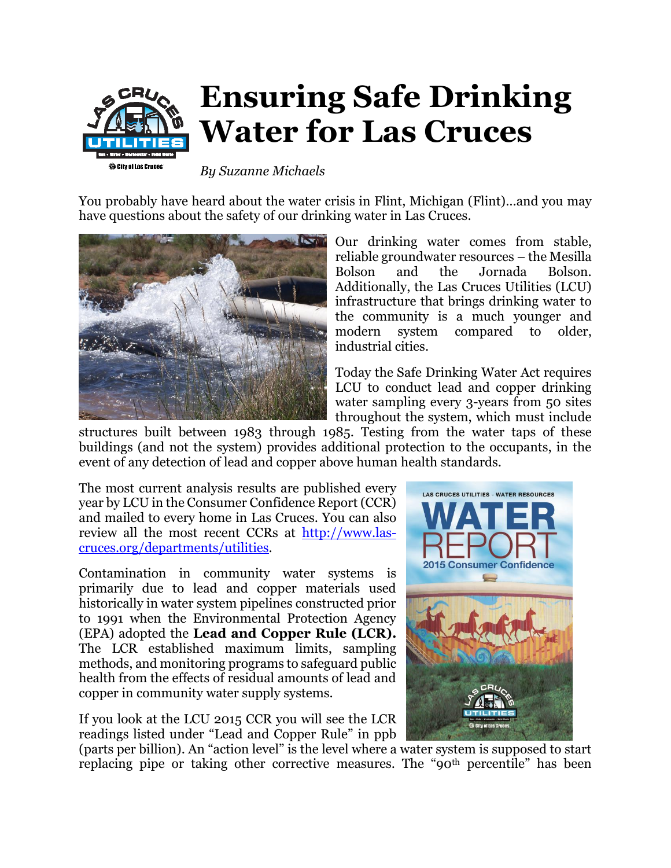

## **Ensuring Safe Drinking Water for Las Cruces**

*By Suzanne Michaels*

You probably have heard about the water crisis in Flint, Michigan (Flint)…and you may have questions about the safety of our drinking water in Las Cruces.



Our drinking water comes from stable, reliable groundwater resources – the Mesilla Bolson and the Jornada Bolson. Additionally, the Las Cruces Utilities (LCU) infrastructure that brings drinking water to the community is a much younger and modern system compared to older, industrial cities.

Today the Safe Drinking Water Act requires LCU to conduct lead and copper drinking water sampling every 3-years from 50 sites throughout the system, which must include

structures built between 1983 through 1985. Testing from the water taps of these buildings (and not the system) provides additional protection to the occupants, in the event of any detection of lead and copper above human health standards.

The most current analysis results are published every year by LCU in the Consumer Confidence Report (CCR) and mailed to every home in Las Cruces. You can also review all the most recent CCRs at [http://www.las](http://www.las-cruces.org/departments/utilities)[cruces.org/departments/utilities.](http://www.las-cruces.org/departments/utilities)

Contamination in community water systems is primarily due to lead and copper materials used historically in water system pipelines constructed prior to 1991 when the Environmental Protection Agency (EPA) adopted the **Lead and Copper Rule (LCR).**  The LCR established maximum limits, sampling methods, and monitoring programs to safeguard public health from the effects of residual amounts of lead and copper in community water supply systems.

If you look at the LCU 2015 CCR you will see the LCR readings listed under "Lead and Copper Rule" in ppb



(parts per billion). An "action level" is the level where a water system is supposed to start replacing pipe or taking other corrective measures. The "90<sup>th</sup> percentile" has been